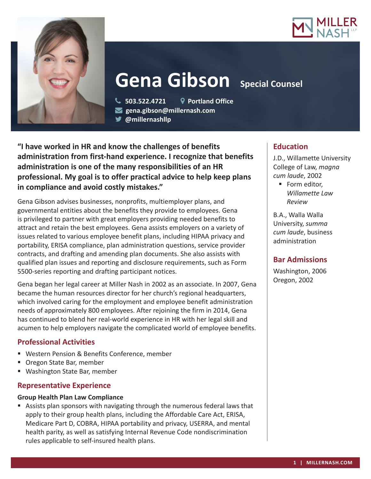



# **Gena Gibson** Special Counsel

 **503.522.4721 Portland Office gena.gibson@millernash.com** 

**@millernashllp** 

**"I have worked in HR and know the challenges of benefits administration from first-hand experience. I recognize that benefits administration is one of the many responsibilities of an HR professional. My goal is to offer practical advice to help keep plans in compliance and avoid costly mistakes."**

Gena Gibson advises businesses, nonprofits, multiemployer plans, and governmental entities about the benefits they provide to employees. Gena is privileged to partner with great employers providing needed benefits to attract and retain the best employees. Gena assists employers on a variety of issues related to various employee benefit plans, including HIPAA privacy and portability, ERISA compliance, plan administration questions, service provider contracts, and drafting and amending plan documents. She also assists with qualified plan issues and reporting and disclosure requirements, such as Form 5500-series reporting and drafting participant notices.

Gena began her legal career at Miller Nash in 2002 as an associate. In 2007, Gena became the human resources director for her church's regional headquarters, which involved caring for the employment and employee benefit administration needs of approximately 800 employees. After rejoining the firm in 2014, Gena has continued to blend her real-world experience in HR with her legal skill and acumen to help employers navigate the complicated world of employee benefits.

# **Professional Activities**

- Western Pension & Benefits Conference, member
- Oregon State Bar, member
- Washington State Bar, member

# **Representative Experience**

### **Group Health Plan Law Compliance**

 Assists plan sponsors with navigating through the numerous federal laws that apply to their group health plans, including the Affordable Care Act, ERISA, Medicare Part D, COBRA, HIPAA portability and privacy, USERRA, and mental health parity, as well as satisfying Internal Revenue Code nondiscrimination rules applicable to self-insured health plans.

# **Education**

J.D., Willamette University College of Law, *magna cum laude*, 2002

■ Form editor, *Willamette Law Review*

B.A., Walla Walla University, *summa cum laude*, business administration

# **Bar Admissions**

Washington, 2006 Oregon, 2002